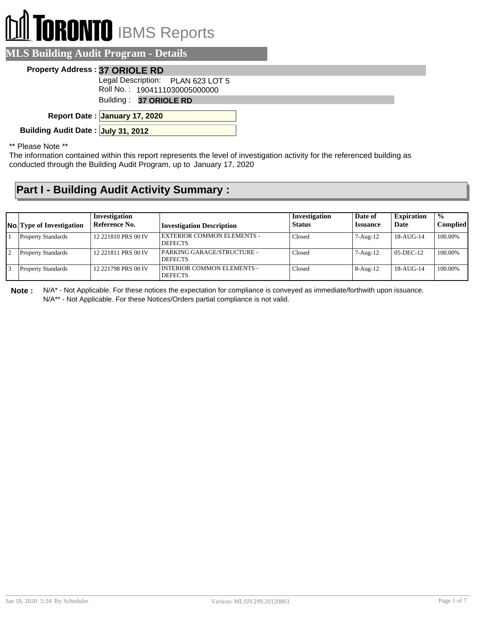# TORONTO IBMS Reports

|  |  | <b>MLS Building Audit Program - Details</b> |
|--|--|---------------------------------------------|
|  |  |                                             |

#### **Property Address : 37 ORIOLE RD**

Legal Description: PLAN 623 LOT 5

Roll No. : 1904111030005000000

Building : **37 ORIOLE RD**

**January 17, 2020 Report Date :**

**Building Audit Date : July 31, 2012**

\*\* Please Note \*\*

The information contained within this report represents the level of investigation activity for the referenced building as conducted through the Building Audit Program, up to January 17, 2020

#### **Part I - Building Audit Activity Summary :**

| <b>No.</b> Type of Investigation | Investigation<br>Reference No. | <b>Investigation Description</b>                    | Investigation<br><b>Status</b> | Date of<br><b>Issuance</b> | <b>Expiration</b><br>Date | $\frac{1}{2}$<br><b>Complied</b> |
|----------------------------------|--------------------------------|-----------------------------------------------------|--------------------------------|----------------------------|---------------------------|----------------------------------|
| <b>Property Standards</b>        | 12 221810 PRS 00 IV            | <b>EXTERIOR COMMON ELEMENTS -</b><br><b>DEFECTS</b> | Closed                         | $7 - Aug-12$               | 18-AUG-14                 | 100.00%                          |
| <b>Property Standards</b>        | 12 221811 PRS 00 IV            | PARKING GARAGE/STRUCTURE -<br><b>DEFECTS</b>        | Closed                         | $7 - Aug-12$               | $05-DEC-12$               | 100.00%                          |
| <b>Property Standards</b>        | 12 221798 PRS 00 IV            | I INTERIOR COMMON ELEMENTS -<br><b>DEFECTS</b>      | Closed                         | $8-Aug-12$                 | $18-AU$ G-14              | 100.00%                          |

**Note :** N/A\* - Not Applicable. For these notices the expectation for compliance is conveyed as immediate/forthwith upon issuance. N/A\*\* - Not Applicable. For these Notices/Orders partial compliance is not valid.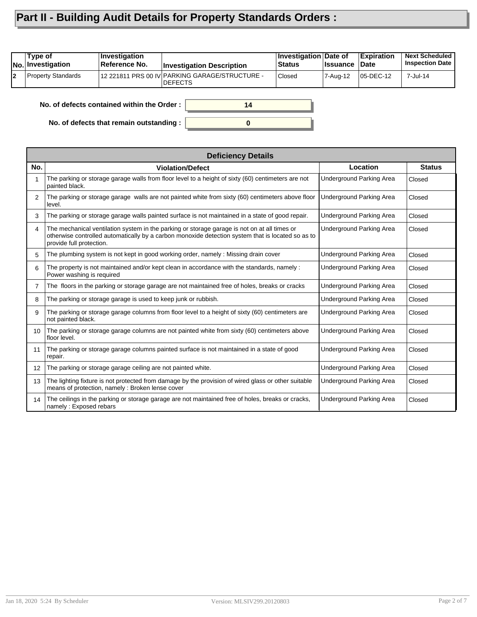### **Part II - Building Audit Details for Property Standards Orders :**

|    | Type of<br><b>No. Investigation</b> | <i><b>Investigation</b></i><br>Reference No. | <b>Investigation Description</b>                           | <b>Investigation Date of</b><br><b>Status</b> | <b>∣Issuance</b> | <b>Expiration</b><br>∣Date | <b>Next Scheduled</b><br><b>Inspection Date</b> |
|----|-------------------------------------|----------------------------------------------|------------------------------------------------------------|-----------------------------------------------|------------------|----------------------------|-------------------------------------------------|
| l2 | <b>Property Standards</b>           |                                              | 12 221811 PRS 00 IV PARKING GARAGE/STRUCTURE -<br>IDEFECTS | <b>Closed</b>                                 | 7-Aug-12         | 05-DEC-12                  | 7-Jul-14                                        |
|    |                                     |                                              |                                                            |                                               |                  |                            |                                                 |

**0**

**14**

**No. of defects contained within the Order :**

**No. of defects that remain outstanding :**

|                   | <b>Deficiency Details</b>                                                                                                                                                                                                     |                                 |               |
|-------------------|-------------------------------------------------------------------------------------------------------------------------------------------------------------------------------------------------------------------------------|---------------------------------|---------------|
| No.               | <b>Violation/Defect</b>                                                                                                                                                                                                       | Location                        | <b>Status</b> |
|                   | The parking or storage garage walls from floor level to a height of sixty (60) centimeters are not<br>painted black.                                                                                                          | <b>Underground Parking Area</b> | Closed        |
| $\mathcal{P}$     | The parking or storage garage walls are not painted white from sixty (60) centimeters above floor<br>level.                                                                                                                   | Underground Parking Area        | Closed        |
| 3                 | The parking or storage garage walls painted surface is not maintained in a state of good repair.                                                                                                                              | Underground Parking Area        | Closed        |
| 4                 | The mechanical ventilation system in the parking or storage garage is not on at all times or<br>otherwise controlled automatically by a carbon monoxide detection system that is located so as to<br>provide full protection. | Underground Parking Area        | Closed        |
| 5                 | The plumbing system is not kept in good working order, namely: Missing drain cover                                                                                                                                            | <b>Underground Parking Area</b> | Closed        |
| 6                 | The property is not maintained and/or kept clean in accordance with the standards, namely :<br>Power washing is required                                                                                                      | Underground Parking Area        | Closed        |
| 7                 | The floors in the parking or storage garage are not maintained free of holes, breaks or cracks                                                                                                                                | Underground Parking Area        | Closed        |
| 8                 | The parking or storage garage is used to keep junk or rubbish.                                                                                                                                                                | Underground Parking Area        | Closed        |
| 9                 | The parking or storage garage columns from floor level to a height of sixty (60) centimeters are<br>not painted black.                                                                                                        | Underground Parking Area        | Closed        |
| 10                | The parking or storage garage columns are not painted white from sixty (60) centimeters above<br>floor level.                                                                                                                 | Underground Parking Area        | Closed        |
| 11                | The parking or storage garage columns painted surface is not maintained in a state of good<br>repair.                                                                                                                         | Underground Parking Area        | Closed        |
| $12 \overline{ }$ | The parking or storage garage ceiling are not painted white.                                                                                                                                                                  | Underground Parking Area        | Closed        |
| 13                | The lighting fixture is not protected from damage by the provision of wired glass or other suitable<br>means of protection, namely: Broken lense cover                                                                        | <b>Underground Parking Area</b> | Closed        |
| 14                | The ceilings in the parking or storage garage are not maintained free of holes, breaks or cracks,<br>namely: Exposed rebars                                                                                                   | Underground Parking Area        | Closed        |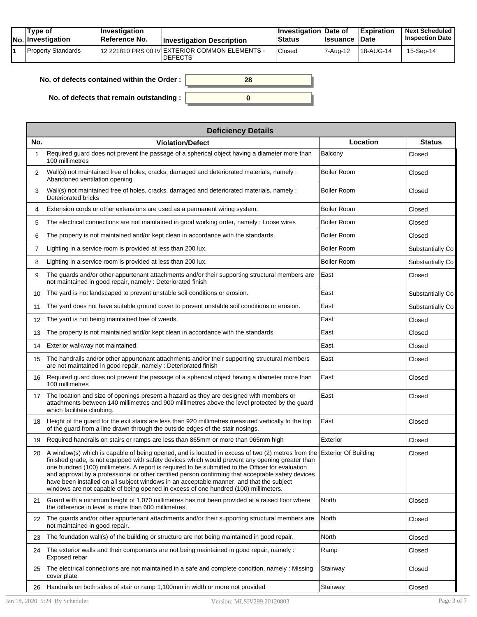|  | Tvpe of<br><b>No.</b> Investigation | $\blacksquare$ Investigation<br>Reference No. | <b>Investigation Description</b>                                 | <b>∐nvestigation Date of</b><br>Status | <b>Issuance Date</b> | Expiration | <b>Next Scheduled</b><br><b>Inspection Date</b> |
|--|-------------------------------------|-----------------------------------------------|------------------------------------------------------------------|----------------------------------------|----------------------|------------|-------------------------------------------------|
|  | Property Standards                  |                                               | 12 221810 PRS 00 IV EXTERIOR COMMON ELEMENTS -<br><b>DEFECTS</b> | Closed                                 | 7-Aua-12             | 18-AUG-14  | 15-Sep-14                                       |

| No. of defects contained within the Order: | 28 |
|--------------------------------------------|----|
| No. of defects that remain outstanding :   |    |

|     | <b>Deficiency Details</b>                                                                                                                                                                                                                                                                                                                                                                                                                                                                                                                                                                                                |                    |                  |
|-----|--------------------------------------------------------------------------------------------------------------------------------------------------------------------------------------------------------------------------------------------------------------------------------------------------------------------------------------------------------------------------------------------------------------------------------------------------------------------------------------------------------------------------------------------------------------------------------------------------------------------------|--------------------|------------------|
| No. | <b>Violation/Defect</b>                                                                                                                                                                                                                                                                                                                                                                                                                                                                                                                                                                                                  | Location           | <b>Status</b>    |
|     | Required guard does not prevent the passage of a spherical object having a diameter more than<br>100 millimetres                                                                                                                                                                                                                                                                                                                                                                                                                                                                                                         | Balcony            | Closed           |
| 2   | Wall(s) not maintained free of holes, cracks, damaged and deteriorated materials, namely :<br>Abandoned ventilation opening                                                                                                                                                                                                                                                                                                                                                                                                                                                                                              | <b>Boiler Room</b> | Closed           |
| 3   | Wall(s) not maintained free of holes, cracks, damaged and deteriorated materials, namely :<br>Deteriorated bricks                                                                                                                                                                                                                                                                                                                                                                                                                                                                                                        | <b>Boiler Room</b> | Closed           |
| 4   | Extension cords or other extensions are used as a permanent wiring system.                                                                                                                                                                                                                                                                                                                                                                                                                                                                                                                                               | Boiler Room        | Closed           |
| 5   | The electrical connections are not maintained in good working order, namely : Loose wires                                                                                                                                                                                                                                                                                                                                                                                                                                                                                                                                | Boiler Room        | Closed           |
| 6   | The property is not maintained and/or kept clean in accordance with the standards.                                                                                                                                                                                                                                                                                                                                                                                                                                                                                                                                       | Boiler Room        | Closed           |
| 7   | Lighting in a service room is provided at less than 200 lux.                                                                                                                                                                                                                                                                                                                                                                                                                                                                                                                                                             | <b>Boiler Room</b> | Substantially Co |
| 8   | Lighting in a service room is provided at less than 200 lux.                                                                                                                                                                                                                                                                                                                                                                                                                                                                                                                                                             | <b>Boiler Room</b> | Substantially Co |
| 9   | The guards and/or other appurtenant attachments and/or their supporting structural members are<br>not maintained in good repair, namely: Deteriorated finish                                                                                                                                                                                                                                                                                                                                                                                                                                                             | East               | Closed           |
| 10  | The yard is not landscaped to prevent unstable soil conditions or erosion.                                                                                                                                                                                                                                                                                                                                                                                                                                                                                                                                               | East               | Substantially Co |
| 11  | The yard does not have suitable ground cover to prevent unstable soil conditions or erosion.                                                                                                                                                                                                                                                                                                                                                                                                                                                                                                                             | East               | Substantially Co |
| 12  | The yard is not being maintained free of weeds.                                                                                                                                                                                                                                                                                                                                                                                                                                                                                                                                                                          | East               | Closed           |
| 13  | The property is not maintained and/or kept clean in accordance with the standards.                                                                                                                                                                                                                                                                                                                                                                                                                                                                                                                                       | East               | Closed           |
| 14  | Exterior walkway not maintained.                                                                                                                                                                                                                                                                                                                                                                                                                                                                                                                                                                                         | East               | Closed           |
| 15  | The handrails and/or other appurtenant attachments and/or their supporting structural members<br>are not maintained in good repair, namely: Deteriorated finish                                                                                                                                                                                                                                                                                                                                                                                                                                                          | East               | Closed           |
| 16  | Required guard does not prevent the passage of a spherical object having a diameter more than<br>100 millimetres                                                                                                                                                                                                                                                                                                                                                                                                                                                                                                         | East               | Closed           |
| 17  | The location and size of openings present a hazard as they are designed with members or<br>attachments between 140 millimetres and 900 millimetres above the level protected by the guard<br>which facilitate climbing.                                                                                                                                                                                                                                                                                                                                                                                                  | East               | Closed           |
| 18  | Height of the guard for the exit stairs are less than 920 millimetres measured vertically to the top<br>of the guard from a line drawn through the outside edges of the stair nosings.                                                                                                                                                                                                                                                                                                                                                                                                                                   | East               | Closed           |
| 19  | Required handrails on stairs or ramps are less than 865mm or more than 965mm high                                                                                                                                                                                                                                                                                                                                                                                                                                                                                                                                        | Exterior           | Closed           |
| 20  | A window(s) which is capable of being opened, and is located in excess of two (2) metres from the Exterior Of Building<br>finished grade, is not equipped with safety devices which would prevent any opening greater than<br>one hundred (100) millimeters. A report is required to be submitted to the Officer for evaluation<br>and approval by a professional or other certified person confirming that acceptable safety devices<br>have been installed on all subject windows in an acceptable manner, and that the subject<br>windows are not capable of being opened in excess of one hundred (100) millimeters. |                    | Closed           |
| 21  | Guard with a minimum height of 1,070 millimetres has not been provided at a raised floor where<br>the difference in level is more than 600 millimetres.                                                                                                                                                                                                                                                                                                                                                                                                                                                                  | North              | Closed           |
| 22  | The quards and/or other appurtenant attachments and/or their supporting structural members are<br>not maintained in good repair.                                                                                                                                                                                                                                                                                                                                                                                                                                                                                         | North              | Closed           |
| 23  | The foundation wall(s) of the building or structure are not being maintained in good repair.                                                                                                                                                                                                                                                                                                                                                                                                                                                                                                                             | North              | Closed           |
| 24  | The exterior walls and their components are not being maintained in good repair, namely :<br>Exposed rebar                                                                                                                                                                                                                                                                                                                                                                                                                                                                                                               | Ramp               | Closed           |
| 25  | The electrical connections are not maintained in a safe and complete condition, namely : Missing<br>cover plate                                                                                                                                                                                                                                                                                                                                                                                                                                                                                                          | Stairway           | Closed           |
| 26  | Handrails on both sides of stair or ramp 1,100mm in width or more not provided                                                                                                                                                                                                                                                                                                                                                                                                                                                                                                                                           | Stairway           | Closed           |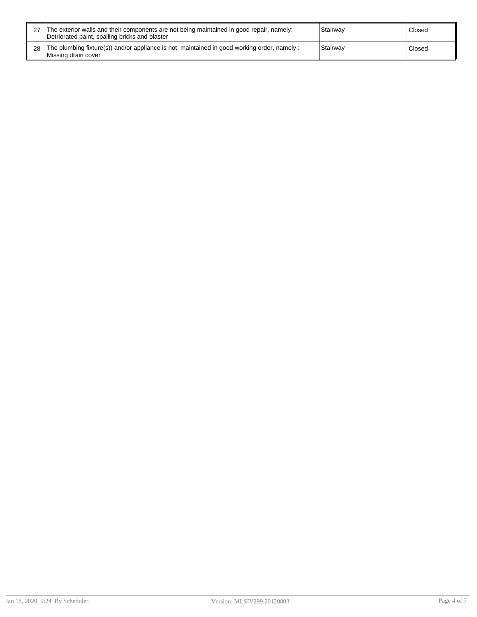| 27 The exterior walls and their components are not being maintained in good repair, namely:<br>Detriorated paint, spalling bricks and plaster | Stairway | Closed  |
|-----------------------------------------------------------------------------------------------------------------------------------------------|----------|---------|
| 28 The plumbing fixture(s)) and/or appliance is not maintained in good working order, namely :<br>Missing drain cover                         | Stairway | 'Closed |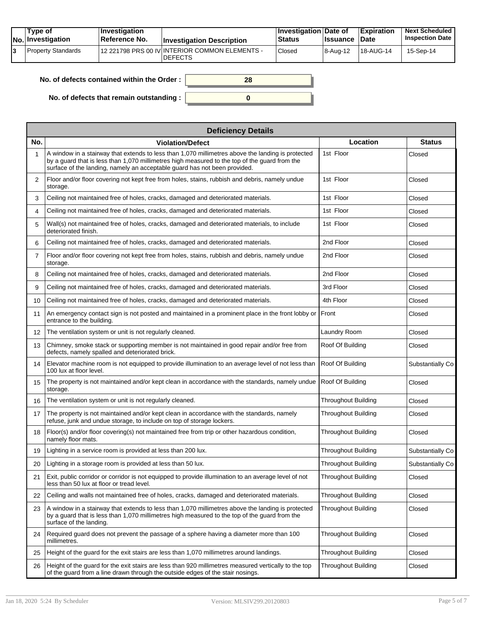| Tvpe of<br>No. Investigation | <b>Investigation</b><br>⊺Reference No. | <b>Investigation Description</b>                                  | ∣Investigation Date of<br>Status | <b>Issuance Date</b> | <b>Expiration</b>      | <b>Next Scheduled</b><br><b>Inspection Date</b> |
|------------------------------|----------------------------------------|-------------------------------------------------------------------|----------------------------------|----------------------|------------------------|-------------------------------------------------|
| Property Standards           |                                        | 112 221798 PRS 00 IV INTERIOR COMMON ELEMENTS -<br><b>DEFECTS</b> | Closed                           | 18-Aug-12            | <sup>1</sup> 18-AUG-14 | 15-Sep-14                                       |

| No. of defects contained within the Order:       | 28 |
|--------------------------------------------------|----|
|                                                  |    |
| No. of defects that remain outstanding : $\vert$ |    |

|     | <b>Deficiency Details</b>                                                                                                                                                                                                                                                       |                            |                  |
|-----|---------------------------------------------------------------------------------------------------------------------------------------------------------------------------------------------------------------------------------------------------------------------------------|----------------------------|------------------|
| No. | <b>Violation/Defect</b>                                                                                                                                                                                                                                                         | Location                   | <b>Status</b>    |
|     | A window in a stairway that extends to less than 1,070 millimetres above the landing is protected<br>by a guard that is less than 1,070 millimetres high measured to the top of the guard from the<br>surface of the landing, namely an acceptable guard has not been provided. | 1st Floor                  | Closed           |
| 2   | Floor and/or floor covering not kept free from holes, stains, rubbish and debris, namely undue<br>storage.                                                                                                                                                                      | 1st Floor                  | Closed           |
| 3   | Ceiling not maintained free of holes, cracks, damaged and deteriorated materials.                                                                                                                                                                                               | 1st Floor                  | Closed           |
| 4   | Ceiling not maintained free of holes, cracks, damaged and deteriorated materials.                                                                                                                                                                                               | 1st Floor                  | Closed           |
| 5   | Wall(s) not maintained free of holes, cracks, damaged and deteriorated materials, to include<br>deteriorated finish.                                                                                                                                                            | 1st Floor                  | Closed           |
| 6   | Ceiling not maintained free of holes, cracks, damaged and deteriorated materials.                                                                                                                                                                                               | 2nd Floor                  | Closed           |
| 7   | Floor and/or floor covering not kept free from holes, stains, rubbish and debris, namely undue<br>storage.                                                                                                                                                                      | 2nd Floor                  | Closed           |
| 8   | Ceiling not maintained free of holes, cracks, damaged and deteriorated materials.                                                                                                                                                                                               | 2nd Floor                  | Closed           |
| 9   | Ceiling not maintained free of holes, cracks, damaged and deteriorated materials.                                                                                                                                                                                               | 3rd Floor                  | Closed           |
| 10  | Ceiling not maintained free of holes, cracks, damaged and deteriorated materials.                                                                                                                                                                                               | 4th Floor                  | Closed           |
| 11  | An emergency contact sign is not posted and maintained in a prominent place in the front lobby or<br>entrance to the building.                                                                                                                                                  | Front                      | Closed           |
| 12  | The ventilation system or unit is not regularly cleaned.                                                                                                                                                                                                                        | Laundry Room               | Closed           |
| 13  | Chimney, smoke stack or supporting member is not maintained in good repair and/or free from<br>defects, namely spalled and deteriorated brick.                                                                                                                                  | Roof Of Building           | Closed           |
| 14  | Elevator machine room is not equipped to provide illumination to an average level of not less than<br>100 lux at floor level.                                                                                                                                                   | Roof Of Building           | Substantially Co |
| 15  | The property is not maintained and/or kept clean in accordance with the standards, namely undue<br>storage.                                                                                                                                                                     | Roof Of Building           | Closed           |
| 16  | The ventilation system or unit is not regularly cleaned.                                                                                                                                                                                                                        | <b>Throughout Building</b> | Closed           |
| 17  | The property is not maintained and/or kept clean in accordance with the standards, namely<br>refuse, junk and undue storage, to include on top of storage lockers.                                                                                                              | <b>Throughout Building</b> | Closed           |
| 18  | Floor(s) and/or floor covering(s) not maintained free from trip or other hazardous condition,<br>namely floor mats.                                                                                                                                                             | <b>Throughout Building</b> | Closed           |
| 19  | Lighting in a service room is provided at less than 200 lux.                                                                                                                                                                                                                    | <b>Throughout Building</b> | Substantially Co |
| 20  | Lighting in a storage room is provided at less than 50 lux.                                                                                                                                                                                                                     | <b>Throughout Building</b> | Substantially Co |
| 21  | Exit, public corridor or corridor is not equipped to provide illumination to an average level of not<br>less than 50 lux at floor or tread level.                                                                                                                               | <b>Throughout Building</b> | Closed           |
| 22  | Ceiling and walls not maintained free of holes, cracks, damaged and deteriorated materials.                                                                                                                                                                                     | <b>Throughout Building</b> | Closed           |
| 23  | A window in a stairway that extends to less than 1,070 millimetres above the landing is protected<br>by a guard that is less than 1,070 millimetres high measured to the top of the guard from the<br>surface of the landing.                                                   | <b>Throughout Building</b> | Closed           |
| 24  | Required guard does not prevent the passage of a sphere having a diameter more than 100<br>millimetres.                                                                                                                                                                         | Throughout Building        | Closed           |
| 25  | Height of the guard for the exit stairs are less than 1,070 millimetres around landings.                                                                                                                                                                                        | Throughout Building        | Closed           |
| 26  | Height of the guard for the exit stairs are less than 920 millimetres measured vertically to the top<br>of the guard from a line drawn through the outside edges of the stair nosings.                                                                                          | <b>Throughout Building</b> | Closed           |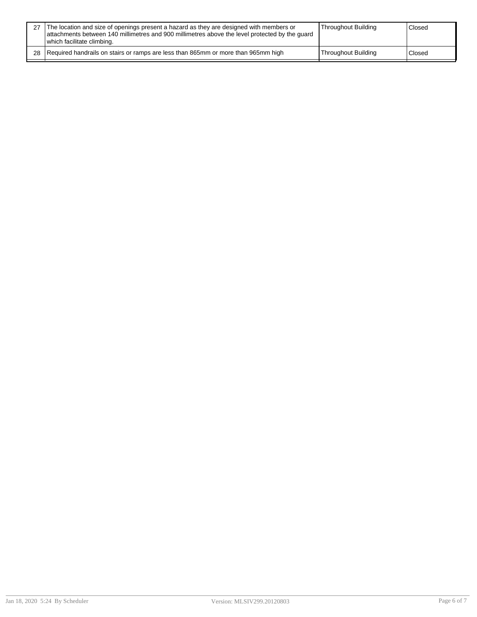| 27 The location and size of openings present a hazard as they are designed with members or<br>attachments between 140 millimetres and 900 millimetres above the level protected by the quard<br>which facilitate climbing. | Throughout Building | Closed |
|----------------------------------------------------------------------------------------------------------------------------------------------------------------------------------------------------------------------------|---------------------|--------|
| 28 Required handrails on stairs or ramps are less than 865mm or more than 965mm high                                                                                                                                       | Throughout Building | Closed |